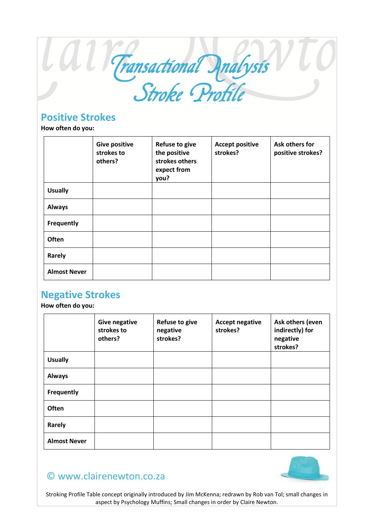

## **Positive Strokes**

**How often do you:**

|                     | <b>Give positive</b><br>strokes to<br>others? | <b>Refuse to give</b><br>the positive<br>strokes others<br>expect from<br>you? | <b>Accept positive</b><br>strokes? | Ask others for<br>positive strokes? |
|---------------------|-----------------------------------------------|--------------------------------------------------------------------------------|------------------------------------|-------------------------------------|
| <b>Usually</b>      |                                               |                                                                                |                                    |                                     |
| <b>Always</b>       |                                               |                                                                                |                                    |                                     |
| Frequently          |                                               |                                                                                |                                    |                                     |
| Often               |                                               |                                                                                |                                    |                                     |
| Rarely              |                                               |                                                                                |                                    |                                     |
| <b>Almost Never</b> |                                               |                                                                                |                                    |                                     |

## **Negative Strokes**

**How often do you:**

|                     | <b>Give negative</b><br>strokes to<br>others? | <b>Refuse to give</b><br>negative<br>strokes? | <b>Accept negative</b><br>strokes? | Ask others (even<br>indirectly) for<br>negative<br>strokes? |
|---------------------|-----------------------------------------------|-----------------------------------------------|------------------------------------|-------------------------------------------------------------|
| <b>Usually</b>      |                                               |                                               |                                    |                                                             |
| <b>Always</b>       |                                               |                                               |                                    |                                                             |
| Frequently          |                                               |                                               |                                    |                                                             |
| Often               |                                               |                                               |                                    |                                                             |
| Rarely              |                                               |                                               |                                    |                                                             |
| <b>Almost Never</b> |                                               |                                               |                                    |                                                             |

## © www.clairenewton.co.za

Stroking Profile Table concept originally introduced by Jim McKenna; redrawn by Rob van Tol; small changes in aspect by Psychology Muffins; Small changes in order by Claire Newton.